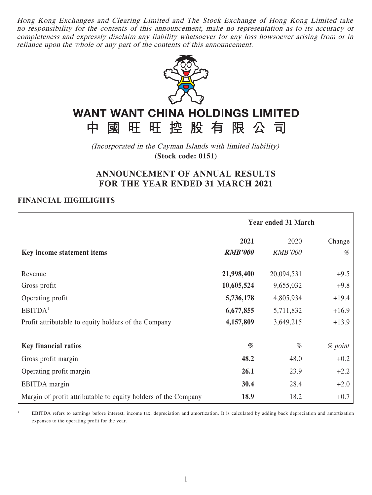Hong Kong Exchanges and Clearing Limited and The Stock Exchange of Hong Kong Limited take no responsibility for the contents of this announcement, make no representation as to its accuracy or completeness and expressly disclaim any liability whatsoever for any loss howsoever arising from or in reliance upon the whole or any part of the contents of this announcement.



# **WANT WANT CHINA HOLDINGS LIMITED** 旺旺控股有限公司

(Incorporated in the Cayman Islands with limited liability) **(Stock code: 0151)**

# **ANNOUNCEMENT OF ANNUAL RESULTS FOR THE YEAR ENDED 31 MARCH 2021**

### **FINANCIAL HIGHLIGHTS**

中國

1

|                                                                | <b>Year ended 31 March</b> |                |           |  |
|----------------------------------------------------------------|----------------------------|----------------|-----------|--|
|                                                                | 2021                       | 2020           | Change    |  |
| Key income statement items                                     | <b>RMB'000</b>             | <b>RMB'000</b> | %         |  |
| Revenue                                                        | 21,998,400                 | 20,094,531     | $+9.5$    |  |
| Gross profit                                                   | 10,605,524                 | 9,655,032      | $+9.8$    |  |
| Operating profit                                               | 5,736,178                  | 4,805,934      | $+19.4$   |  |
| EBITDA <sup>1</sup>                                            | 6,677,855                  | 5,711,832      | $+16.9$   |  |
| Profit attributable to equity holders of the Company           | 4,157,809                  | 3,649,215      | $+13.9$   |  |
| <b>Key financial ratios</b>                                    | %                          | $\%$           | $%$ point |  |
| Gross profit margin                                            | 48.2                       | 48.0           | $+0.2$    |  |
| Operating profit margin                                        | 26.1                       | 23.9           | $+2.2$    |  |
| EBITDA margin                                                  | 30.4                       | 28.4           | $+2.0$    |  |
| Margin of profit attributable to equity holders of the Company | 18.9                       | 18.2           | $+0.7$    |  |

 EBITDA refers to earnings before interest, income tax, depreciation and amortization. It is calculated by adding back depreciation and amortization expenses to the operating profit for the year.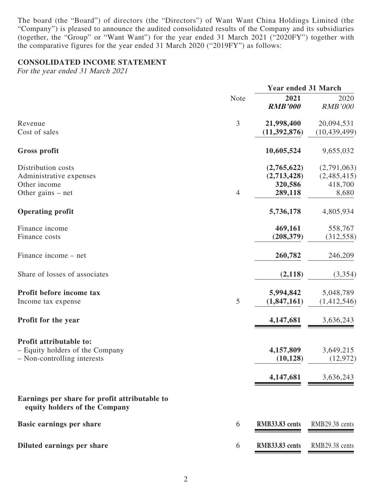The board (the "Board") of directors (the "Directors") of Want Want China Holdings Limited (the "Company") is pleased to announce the audited consolidated results of the Company and its subsidiaries (together, the "Group" or "Want Want") for the year ended 31 March 2021 ("2020FY") together with the comparative figures for the year ended 31 March 2020 ("2019FY") as follows:

### **CONSOLIDATED INCOME STATEMENT**

For the year ended 31 March 2021

|                                                                                           |                | <b>Year ended 31 March</b>                       |                                                |  |
|-------------------------------------------------------------------------------------------|----------------|--------------------------------------------------|------------------------------------------------|--|
|                                                                                           | Note           | 2021<br><b>RMB'000</b>                           | 2020<br><b>RMB'000</b>                         |  |
| Revenue<br>Cost of sales                                                                  | 3              | 21,998,400<br>(11, 392, 876)                     | 20,094,531<br>(10, 439, 499)                   |  |
| <b>Gross profit</b>                                                                       |                | 10,605,524                                       | 9,655,032                                      |  |
| Distribution costs<br>Administrative expenses<br>Other income<br>Other gains $-$ net      | $\overline{4}$ | (2,765,622)<br>(2,713,428)<br>320,586<br>289,118 | (2,791,063)<br>(2,485,415)<br>418,700<br>8,680 |  |
| <b>Operating profit</b>                                                                   |                | 5,736,178                                        | 4,805,934                                      |  |
| Finance income<br>Finance costs                                                           |                | 469,161<br>(208, 379)                            | 558,767<br>(312, 558)                          |  |
| Finance income – net                                                                      |                | 260,782                                          | 246,209                                        |  |
| Share of losses of associates                                                             |                | (2,118)                                          | (3,354)                                        |  |
| Profit before income tax<br>Income tax expense                                            | 5              | 5,994,842<br>(1,847,161)                         | 5,048,789<br>(1,412,546)                       |  |
| Profit for the year                                                                       |                | 4,147,681                                        | 3,636,243                                      |  |
| Profit attributable to:<br>- Equity holders of the Company<br>- Non-controlling interests |                | 4,157,809<br>(10, 128)                           | 3,649,215<br>(12, 972)                         |  |
|                                                                                           |                | 4,147,681                                        | 3,636,243                                      |  |
| Earnings per share for profit attributable to<br>equity holders of the Company            |                |                                                  |                                                |  |
| <b>Basic earnings per share</b>                                                           | 6              | RMB33.83 cents                                   | RMB29.38 cents                                 |  |
| Diluted earnings per share                                                                | 6              | RMB33.83 cents                                   | RMB29.38 cents                                 |  |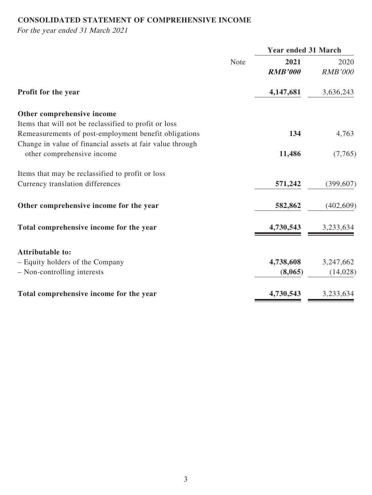# **CONSOLIDATED STATEMENT OF COMPREHENSIVE INCOME**

For the year ended 31 March 2021

|             | <b>Year ended 31 March</b> |                        |  |
|-------------|----------------------------|------------------------|--|
| <b>Note</b> | 2021                       | 2020                   |  |
|             | <b>RMB'000</b>             | <b>RMB'000</b>         |  |
|             | 4,147,681                  | 3,636,243              |  |
|             |                            |                        |  |
|             |                            |                        |  |
|             | 134                        | 4,763                  |  |
|             |                            |                        |  |
|             | 11,486                     | (7,765)                |  |
|             |                            |                        |  |
|             | 571,242                    | (399, 607)             |  |
|             | 582,862                    | (402,609)              |  |
|             | 4,730,543                  | 3,233,634              |  |
|             |                            |                        |  |
|             |                            | 3,247,662              |  |
|             | (8,065)                    | (14,028)               |  |
|             |                            | 3,233,634              |  |
|             |                            | 4,738,608<br>4,730,543 |  |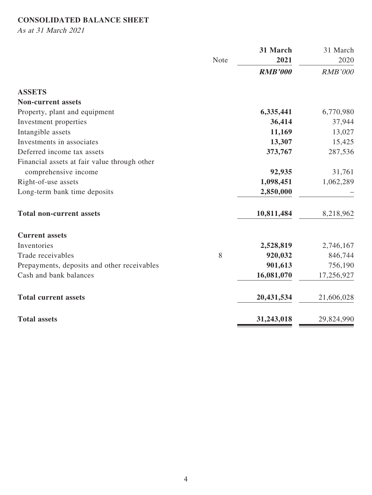# **CONSOLIDATED BALANCE SHEET**

As at 31 March 2021

|                                              |             | 31 March       | 31 March       |
|----------------------------------------------|-------------|----------------|----------------|
|                                              | <b>Note</b> | 2021           | 2020           |
|                                              |             | <b>RMB'000</b> | <b>RMB'000</b> |
| <b>ASSETS</b>                                |             |                |                |
| <b>Non-current assets</b>                    |             |                |                |
| Property, plant and equipment                |             | 6,335,441      | 6,770,980      |
| Investment properties                        |             | 36,414         | 37,944         |
| Intangible assets                            |             | 11,169         | 13,027         |
| Investments in associates                    |             | 13,307         | 15,425         |
| Deferred income tax assets                   |             | 373,767        | 287,536        |
| Financial assets at fair value through other |             |                |                |
| comprehensive income                         |             | 92,935         | 31,761         |
| Right-of-use assets                          |             | 1,098,451      | 1,062,289      |
| Long-term bank time deposits                 |             | 2,850,000      |                |
| <b>Total non-current assets</b>              |             | 10,811,484     | 8,218,962      |
| <b>Current assets</b>                        |             |                |                |
| Inventories                                  |             | 2,528,819      | 2,746,167      |
| Trade receivables                            | 8           | 920,032        | 846,744        |
| Prepayments, deposits and other receivables  |             | 901,613        | 756,190        |
| Cash and bank balances                       |             | 16,081,070     | 17,256,927     |
| <b>Total current assets</b>                  |             | 20,431,534     | 21,606,028     |
| <b>Total assets</b>                          |             | 31,243,018     | 29,824,990     |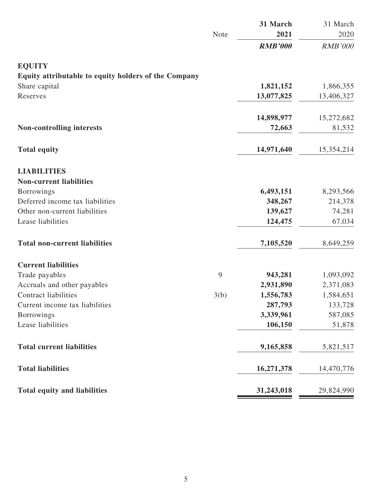|                                                      |      | 31 March       | 31 March       |
|------------------------------------------------------|------|----------------|----------------|
|                                                      | Note | 2021           | 2020           |
|                                                      |      | <b>RMB'000</b> | <b>RMB'000</b> |
| <b>EQUITY</b>                                        |      |                |                |
| Equity attributable to equity holders of the Company |      |                |                |
| Share capital                                        |      | 1,821,152      | 1,866,355      |
| Reserves                                             |      | 13,077,825     | 13,406,327     |
|                                                      |      | 14,898,977     | 15,272,682     |
| <b>Non-controlling interests</b>                     |      | 72,663         | 81,532         |
| <b>Total equity</b>                                  |      | 14,971,640     | 15,354,214     |
| <b>LIABILITIES</b>                                   |      |                |                |
| <b>Non-current liabilities</b>                       |      |                |                |
| Borrowings                                           |      | 6,493,151      | 8,293,566      |
| Deferred income tax liabilities                      |      | 348,267        | 214,378        |
| Other non-current liabilities                        |      | 139,627        | 74,281         |
| Lease liabilities                                    |      | 124,475        | 67,034         |
| <b>Total non-current liabilities</b>                 |      | 7,105,520      | 8,649,259      |
| <b>Current liabilities</b>                           |      |                |                |
| Trade payables                                       | 9    | 943,281        | 1,093,092      |
| Accruals and other payables                          |      | 2,931,890      | 2,371,083      |
| <b>Contract liabilities</b>                          | 3(b) | 1,556,783      | 1,584,651      |
| Current income tax liabilities                       |      | 287,793        | 133,728        |
| <b>Borrowings</b>                                    |      | 3,339,961      | 587,085        |
| Lease liabilities                                    |      | 106,150        | 51,878         |
| <b>Total current liabilities</b>                     |      | 9,165,858      | 5,821,517      |
| <b>Total liabilities</b>                             |      | 16,271,378     | 14,470,776     |
| <b>Total equity and liabilities</b>                  |      | 31,243,018     | 29,824,990     |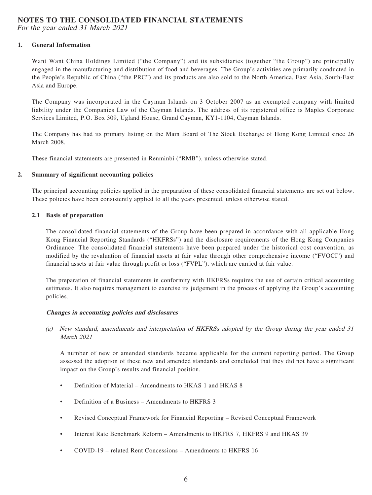# **NOTES TO THE CONSOLIDATED FINANCIAL STATEMENTS**

For the year ended 31 March 2021

#### **1. General Information**

Want Want China Holdings Limited ("the Company") and its subsidiaries (together "the Group") are principally engaged in the manufacturing and distribution of food and beverages. The Group's activities are primarily conducted in the People's Republic of China ("the PRC") and its products are also sold to the North America, East Asia, South-East Asia and Europe.

The Company was incorporated in the Cayman Islands on 3 October 2007 as an exempted company with limited liability under the Companies Law of the Cayman Islands. The address of its registered office is Maples Corporate Services Limited, P.O. Box 309, Ugland House, Grand Cayman, KY1-1104, Cayman Islands.

The Company has had its primary listing on the Main Board of The Stock Exchange of Hong Kong Limited since 26 March 2008.

These financial statements are presented in Renminbi ("RMB"), unless otherwise stated.

#### **2. Summary of significant accounting policies**

The principal accounting policies applied in the preparation of these consolidated financial statements are set out below. These policies have been consistently applied to all the years presented, unless otherwise stated.

#### **2.1 Basis of preparation**

The consolidated financial statements of the Group have been prepared in accordance with all applicable Hong Kong Financial Reporting Standards ("HKFRSs") and the disclosure requirements of the Hong Kong Companies Ordinance. The consolidated financial statements have been prepared under the historical cost convention, as modified by the revaluation of financial assets at fair value through other comprehensive income ("FVOCI") and financial assets at fair value through profit or loss ("FVPL"), which are carried at fair value.

The preparation of financial statements in conformity with HKFRSs requires the use of certain critical accounting estimates. It also requires management to exercise its judgement in the process of applying the Group's accounting policies.

#### **Changes in accounting policies and disclosures**

(a) New standard, amendments and interpretation of HKFRSs adopted by the Group during the year ended 31 March 2021

A number of new or amended standards became applicable for the current reporting period. The Group assessed the adoption of these new and amended standards and concluded that they did not have a significant impact on the Group's results and financial position.

- Definition of Material Amendments to HKAS 1 and HKAS 8
- Definition of a Business Amendments to HKFRS 3
- Revised Conceptual Framework for Financial Reporting Revised Conceptual Framework
- Interest Rate Benchmark Reform Amendments to HKFRS 7, HKFRS 9 and HKAS 39
- COVID-19 related Rent Concessions Amendments to HKFRS 16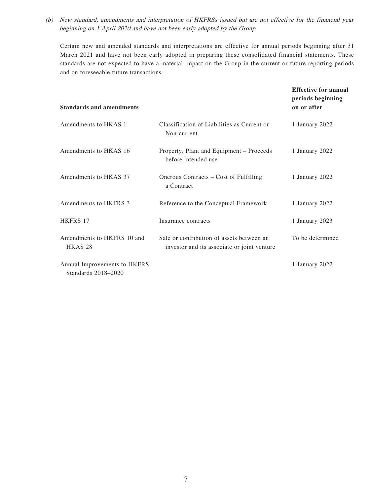(b) New standard, amendments and interpretation of HKFRSs issued but are not effective for the financial year beginning on 1 April 2020 and have not been early adopted by the Group

Certain new and amended standards and interpretations are effective for annual periods beginning after 31 March 2021 and have not been early adopted in preparing these consolidated financial statements. These standards are not expected to have a material impact on the Group in the current or future reporting periods and on foreseeable future transactions.

| <b>Standards and amendments</b>                     |                                                                                          | <b>Effective for annual</b><br>periods beginning<br>on or after |
|-----------------------------------------------------|------------------------------------------------------------------------------------------|-----------------------------------------------------------------|
| Amendments to HKAS 1                                | Classification of Liabilities as Current or<br>Non-current                               | 1 January 2022                                                  |
| Amendments to HKAS 16                               | Property, Plant and Equipment – Proceeds<br>before intended use                          | 1 January 2022                                                  |
| Amendments to HKAS 37                               | Onerous Contracts – Cost of Fulfilling<br>a Contract                                     | 1 January 2022                                                  |
| Amendments to HKFRS 3                               | Reference to the Conceptual Framework                                                    | 1 January 2022                                                  |
| <b>HKFRS 17</b>                                     | Insurance contracts                                                                      | 1 January 2023                                                  |
| Amendments to HKFRS 10 and<br>HKAS <sub>28</sub>    | Sale or contribution of assets between an<br>investor and its associate or joint venture | To be determined                                                |
| Annual Improvements to HKFRS<br>Standards 2018-2020 |                                                                                          | 1 January 2022                                                  |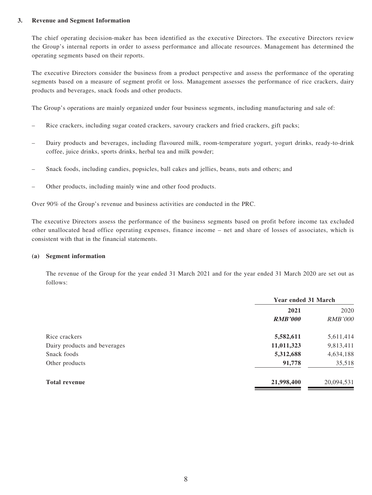#### **3. Revenue and Segment Information**

The chief operating decision-maker has been identified as the executive Directors. The executive Directors review the Group's internal reports in order to assess performance and allocate resources. Management has determined the operating segments based on their reports.

The executive Directors consider the business from a product perspective and assess the performance of the operating segments based on a measure of segment profit or loss. Management assesses the performance of rice crackers, dairy products and beverages, snack foods and other products.

The Group's operations are mainly organized under four business segments, including manufacturing and sale of:

- Rice crackers, including sugar coated crackers, savoury crackers and fried crackers, gift packs;
- Dairy products and beverages, including flavoured milk, room-temperature yogurt, yogurt drinks, ready-to-drink coffee, juice drinks, sports drinks, herbal tea and milk powder;
- Snack foods, including candies, popsicles, ball cakes and jellies, beans, nuts and others; and
- Other products, including mainly wine and other food products.

Over 90% of the Group's revenue and business activities are conducted in the PRC.

The executive Directors assess the performance of the business segments based on profit before income tax excluded other unallocated head office operating expenses, finance income – net and share of losses of associates, which is consistent with that in the financial statements.

#### **(a) Segment information**

The revenue of the Group for the year ended 31 March 2021 and for the year ended 31 March 2020 are set out as follows:

|                              | <b>Year ended 31 March</b> |                |  |
|------------------------------|----------------------------|----------------|--|
|                              | 2021                       | 2020           |  |
|                              | <b>RMB'000</b>             | <i>RMB'000</i> |  |
| Rice crackers                | 5,582,611                  | 5,611,414      |  |
| Dairy products and beverages | 11,011,323                 | 9,813,411      |  |
| Snack foods                  | 5,312,688                  | 4,634,188      |  |
| Other products               | 91,778                     | 35,518         |  |
| <b>Total revenue</b>         | 21,998,400                 | 20,094,531     |  |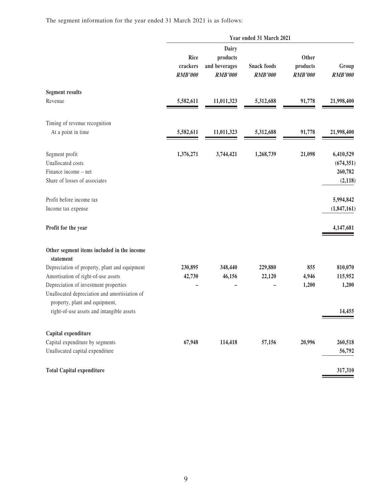The segment information for the year ended 31 March 2021 is as follows:

|                                                                                                                          | Year ended 31 March 2021           |                                                      |                                      |                                     |                         |  |
|--------------------------------------------------------------------------------------------------------------------------|------------------------------------|------------------------------------------------------|--------------------------------------|-------------------------------------|-------------------------|--|
|                                                                                                                          | Rice<br>crackers<br><b>RMB'000</b> | Dairy<br>products<br>and beverages<br><b>RMB'000</b> | <b>Snack foods</b><br><b>RMB'000</b> | Other<br>products<br><b>RMB'000</b> | Group<br><b>RMB'000</b> |  |
| <b>Segment results</b>                                                                                                   |                                    |                                                      |                                      |                                     |                         |  |
| Revenue                                                                                                                  | 5,582,611                          | 11,011,323                                           | 5,312,688                            | 91,778                              | 21,998,400              |  |
| Timing of revenue recognition                                                                                            |                                    |                                                      |                                      |                                     |                         |  |
| At a point in time                                                                                                       | 5,582,611                          | 11,011,323                                           | 5,312,688                            | 91,778                              | 21,998,400              |  |
| Segment profit                                                                                                           | 1,376,271                          | 3,744,421                                            | 1,268,739                            | 21,098                              | 6,410,529               |  |
| Unallocated costs                                                                                                        |                                    |                                                      |                                      |                                     | (674, 351)              |  |
| Finance income – net                                                                                                     |                                    |                                                      |                                      |                                     | 260,782                 |  |
| Share of losses of associates                                                                                            |                                    |                                                      |                                      |                                     | (2, 118)                |  |
| Profit before income tax                                                                                                 |                                    |                                                      |                                      |                                     | 5,994,842               |  |
| Income tax expense                                                                                                       |                                    |                                                      |                                      |                                     | (1,847,161)             |  |
| Profit for the year                                                                                                      |                                    |                                                      |                                      |                                     | 4,147,681               |  |
| Other segment items included in the income<br>statement                                                                  |                                    |                                                      |                                      |                                     |                         |  |
| Depreciation of property, plant and equipment                                                                            | 230,895                            | 348,440                                              | 229,880                              | 855                                 | 810,070                 |  |
| Amortisation of right-of-use assets                                                                                      | 42,730                             | 46,156                                               | 22,120                               | 4,946                               | 115,952                 |  |
| Depreciation of investment properties<br>Unallocated depreciation and amortisiation of<br>property, plant and equipment, |                                    |                                                      |                                      | 1,200                               | 1,200                   |  |
| right-of-use assets and intangible assets                                                                                |                                    |                                                      |                                      |                                     | 14,455                  |  |
| Capital expenditure                                                                                                      |                                    |                                                      |                                      |                                     |                         |  |
| Capital expenditure by segments                                                                                          | 67,948                             | 114,418                                              | 57,156                               | 20,996                              | 260,518                 |  |
| Unallocated capital expenditure                                                                                          |                                    |                                                      |                                      |                                     | 56,792                  |  |
| <b>Total Capital expenditure</b>                                                                                         |                                    |                                                      |                                      |                                     | 317,310                 |  |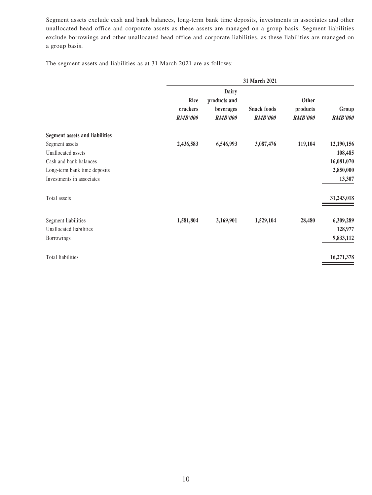Segment assets exclude cash and bank balances, long-term bank time deposits, investments in associates and other unallocated head office and corporate assets as these assets are managed on a group basis. Segment liabilities exclude borrowings and other unallocated head office and corporate liabilities, as these liabilities are managed on a group basis.

The segment assets and liabilities as at 31 March 2021 are as follows:

|                                       | 31 March 2021                      |                                                             |                                      |                                     |                         |
|---------------------------------------|------------------------------------|-------------------------------------------------------------|--------------------------------------|-------------------------------------|-------------------------|
|                                       | Rice<br>crackers<br><b>RMB'000</b> | <b>Dairy</b><br>products and<br>beverages<br><b>RMB'000</b> | <b>Snack foods</b><br><b>RMB'000</b> | Other<br>products<br><b>RMB'000</b> | Group<br><b>RMB'000</b> |
| <b>Segment assets and liabilities</b> |                                    |                                                             |                                      |                                     |                         |
| Segment assets                        | 2,436,583                          | 6,546,993                                                   | 3,087,476                            | 119,104                             | 12,190,156              |
| Unallocated assets                    |                                    |                                                             |                                      |                                     | 108,485                 |
| Cash and bank balances                |                                    |                                                             |                                      |                                     | 16,081,070              |
| Long-term bank time deposits          |                                    |                                                             |                                      |                                     | 2,850,000               |
| Investments in associates             |                                    |                                                             |                                      |                                     | 13,307                  |
| Total assets                          |                                    |                                                             |                                      |                                     | 31,243,018              |
| Segment liabilities                   | 1,581,804                          | 3,169,901                                                   | 1,529,104                            | 28,480                              | 6,309,289               |
| Unallocated liabilities               |                                    |                                                             |                                      |                                     | 128,977                 |
| Borrowings                            |                                    |                                                             |                                      |                                     | 9,833,112               |
| Total liabilities                     |                                    |                                                             |                                      |                                     | 16,271,378              |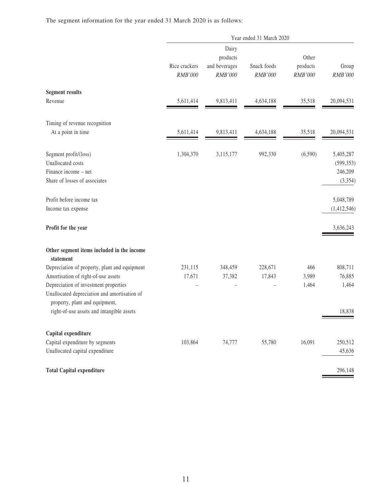The segment information for the year ended 31 March 2020 is as follows:

|                                                                                                                                                                | Year ended 31 March 2020 |                                               |                        |                              |                                                |  |
|----------------------------------------------------------------------------------------------------------------------------------------------------------------|--------------------------|-----------------------------------------------|------------------------|------------------------------|------------------------------------------------|--|
|                                                                                                                                                                | Rice crackers<br>RMB'000 | Dairy<br>products<br>and beverages<br>RMB'000 | Snack foods<br>RMB'000 | Other<br>products<br>RMB'000 | Group<br>RMB'000                               |  |
| <b>Segment results</b>                                                                                                                                         |                          |                                               |                        |                              |                                                |  |
| Revenue                                                                                                                                                        | 5,611,414                | 9,813,411                                     | 4,634,188              | 35,518                       | 20,094,531                                     |  |
| Timing of revenue recognition                                                                                                                                  |                          |                                               |                        |                              |                                                |  |
| At a point in time                                                                                                                                             | 5,611,414                | 9,813,411                                     | 4,634,188              | 35,518                       | 20,094,531                                     |  |
| Segment profit/(loss)<br>Unallocated costs<br>Finance income – net<br>Share of losses of associates                                                            | 1,304,370                | 3,115,177                                     | 992,330                | (6,590)                      | 5,405,287<br>(599, 353)<br>246,209<br>(3, 354) |  |
| Profit before income tax<br>Income tax expense                                                                                                                 |                          |                                               |                        |                              | 5,048,789<br>(1,412,546)                       |  |
| Profit for the year                                                                                                                                            |                          |                                               |                        |                              | 3,636,243                                      |  |
| Other segment items included in the income<br>statement                                                                                                        |                          |                                               |                        |                              |                                                |  |
| Depreciation of property, plant and equipment                                                                                                                  | 231,115                  | 348,459                                       | 228,671                | 466                          | 808,711                                        |  |
| Amortisation of right-of-use assets<br>Depreciation of investment properties<br>Unallocated depreciation and amortisation of<br>property, plant and equipment, | 17,671                   | 37,382                                        | 17,843                 | 3,989<br>1,464               | 76,885<br>1,464                                |  |
| right-of-use assets and intangible assets                                                                                                                      |                          |                                               |                        |                              | 18,838                                         |  |
| Capital expenditure                                                                                                                                            |                          |                                               |                        |                              |                                                |  |
| Capital expenditure by segments<br>Unallocated capital expenditure                                                                                             | 103,864                  | 74,777                                        | 55,780                 | 16,091                       | 250,512<br>45,636                              |  |
| <b>Total Capital expenditure</b>                                                                                                                               |                          |                                               |                        |                              | 296,148                                        |  |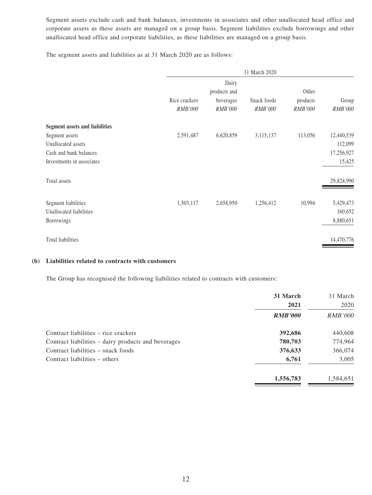Segment assets exclude cash and bank balances, investments in associates and other unallocated head office and corporate assets as these assets are managed on a group basis. Segment liabilities exclude borrowings and other unallocated head office and corporate liabilities, as these liabilities are managed on a group basis.

The segment assets and liabilities as at 31 March 2020 are as follows:

|                                       |                                 |                             | 31 March 2020          |                            |                         |
|---------------------------------------|---------------------------------|-----------------------------|------------------------|----------------------------|-------------------------|
|                                       |                                 | Dairy<br>products and       |                        | Other                      |                         |
|                                       | Rice crackers<br><b>RMB'000</b> | beverages<br><b>RMB'000</b> | Snack foods<br>RMB'000 | products<br><b>RMB'000</b> | Group<br><b>RMB'000</b> |
| <b>Segment assets and liabilities</b> |                                 |                             |                        |                            |                         |
| Segment assets                        | 2,591,487                       | 6,620,859                   | 3,115,137              | 113,056                    | 12,440,539              |
| Unallocated assets                    |                                 |                             |                        |                            | 112,099                 |
| Cash and bank balances                |                                 |                             |                        |                            | 17,256,927              |
| Investments in associates             |                                 |                             |                        |                            | 15,425                  |
| Total assets                          |                                 |                             |                        |                            | 29,824,990              |
| Segment liabilities                   | 1,503,117                       | 2,658,950                   | 1,256,412              | 10,994                     | 5,429,473               |
| Unallocated liabilities               |                                 |                             |                        |                            | 160,652                 |
| Borrowings                            |                                 |                             |                        |                            | 8,880,651               |
| Total liabilities                     |                                 |                             |                        |                            | 14,470,776              |

#### **(b) Liabilities related to contracts with customers**

The Group has recognised the following liabilities related to contracts with customers:

|                                                     | 31 March       | 31 March       |
|-----------------------------------------------------|----------------|----------------|
|                                                     | 2021           | 2020           |
|                                                     | <b>RMB'000</b> | <i>RMB'000</i> |
| Contract liabilities – rice crackers                | 392,686        | 440,608        |
| Contract liabilities – dairy products and beverages | 780,703        | 774,964        |
| Contract liabilities – snack foods                  | 376,633        | 366,074        |
| Contract liabilities – others                       | 6,761          | 3,005          |
|                                                     | 1,556,783      | 1,584,651      |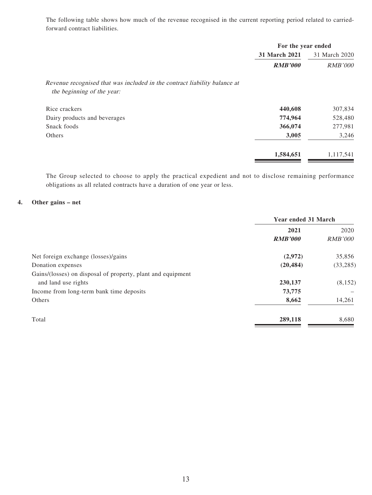The following table shows how much of the revenue recognised in the current reporting period related to carriedforward contract liabilities.

|                                                                           | For the year ended |                |  |
|---------------------------------------------------------------------------|--------------------|----------------|--|
|                                                                           | 31 March 2021      | 31 March 2020  |  |
|                                                                           | <b>RMB'000</b>     | <b>RMB'000</b> |  |
| Revenue recognised that was included in the contract liability balance at |                    |                |  |
| the beginning of the year:                                                |                    |                |  |
| Rice crackers                                                             | 440,608            | 307,834        |  |
| Dairy products and beverages                                              | 774,964            | 528,480        |  |
| Snack foods                                                               | 366,074            | 277,981        |  |
| Others                                                                    | 3,005              | 3,246          |  |
|                                                                           | 1,584,651          | 1,117,541      |  |

The Group selected to choose to apply the practical expedient and not to disclose remaining performance obligations as all related contracts have a duration of one year or less.

#### **4. Other gains – net**

|                                                             | Year ended 31 March |                |
|-------------------------------------------------------------|---------------------|----------------|
|                                                             | 2021                |                |
|                                                             | <b>RMB'000</b>      | <i>RMB'000</i> |
| Net foreign exchange (losses)/gains                         | (2,972)             | 35,856         |
| Donation expenses                                           | (20, 484)           | (33, 285)      |
| Gains/(losses) on disposal of property, plant and equipment |                     |                |
| and land use rights                                         | 230,137             | (8,152)        |
| Income from long-term bank time deposits                    | 73,775              |                |
| Others                                                      | 8,662               | 14,261         |
| Total                                                       | 289,118             | 8,680          |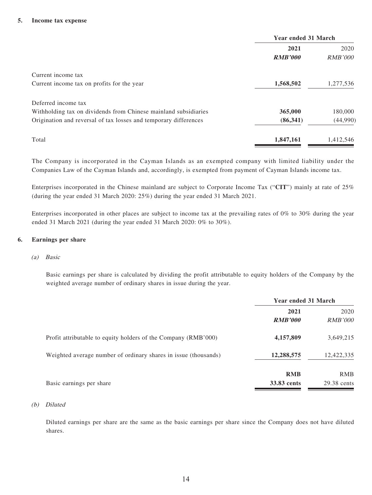#### **5. Income tax expense**

|                                                                  | Year ended 31 March |                |
|------------------------------------------------------------------|---------------------|----------------|
|                                                                  | 2021                | 2020           |
|                                                                  | <b>RMB'000</b>      | <i>RMB'000</i> |
| Current income tax                                               |                     |                |
| Current income tax on profits for the year                       | 1,568,502           | 1,277,536      |
| Deferred income tax                                              |                     |                |
| Withholding tax on dividends from Chinese mainland subsidiaries  | 365,000             | 180,000        |
| Origination and reversal of tax losses and temporary differences | (86,341)            | (44,990)       |
| Total                                                            | 1,847,161           | 1,412,546      |

The Company is incorporated in the Cayman Islands as an exempted company with limited liability under the Companies Law of the Cayman Islands and, accordingly, is exempted from payment of Cayman Islands income tax.

Enterprises incorporated in the Chinese mainland are subject to Corporate Income Tax ("**CIT**") mainly at rate of 25% (during the year ended 31 March 2020: 25%) during the year ended 31 March 2021.

Enterprises incorporated in other places are subject to income tax at the prevailing rates of 0% to 30% during the year ended 31 March 2021 (during the year ended 31 March 2020: 0% to 30%).

#### **6. Earnings per share**

#### (a) Basic

Basic earnings per share is calculated by dividing the profit attributable to equity holders of the Company by the weighted average number of ordinary shares in issue during the year.

|                                                                 | <b>Year ended 31 March</b> |                |
|-----------------------------------------------------------------|----------------------------|----------------|
|                                                                 | 2021                       |                |
|                                                                 | <b>RMB'000</b>             | <i>RMB'000</i> |
| Profit attributable to equity holders of the Company (RMB'000)  | 4,157,809                  | 3,649,215      |
| Weighted average number of ordinary shares in issue (thousands) | 12,288,575                 | 12,422,335     |
|                                                                 | <b>RMB</b>                 | <b>RMB</b>     |
| Basic earnings per share                                        | 33.83 cents                | 29.38 cents    |

#### (b) Diluted

Diluted earnings per share are the same as the basic earnings per share since the Company does not have diluted shares.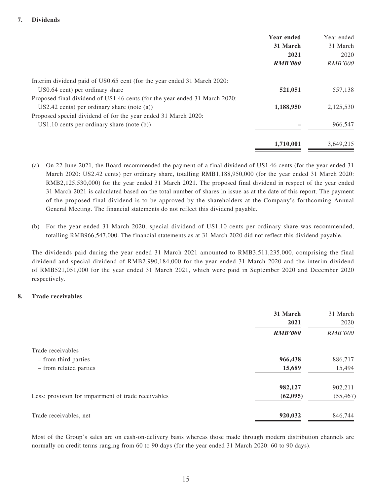#### **7. Dividends**

|                                                                            | Year ended     | Year ended     |
|----------------------------------------------------------------------------|----------------|----------------|
|                                                                            | 31 March       | 31 March       |
|                                                                            | 2021           | 2020           |
|                                                                            | <b>RMB'000</b> | <i>RMB'000</i> |
| Interim dividend paid of US0.65 cent (for the year ended 31 March 2020:    |                |                |
| US0.64 cent) per ordinary share                                            | 521,051        | 557,138        |
| Proposed final dividend of US1.46 cents (for the year ended 31 March 2020: |                |                |
| $US2.42$ cents) per ordinary share (note (a))                              | 1,188,950      | 2,125,530      |
| Proposed special dividend of for the year ended 31 March 2020:             |                |                |
| $US1.10$ cents per ordinary share (note (b))                               |                | 966,547        |
|                                                                            | 1,710,001      | 3.649.215      |

- (a) On 22 June 2021, the Board recommended the payment of a final dividend of US1.46 cents (for the year ended 31 March 2020: US2.42 cents) per ordinary share, totalling RMB1,188,950,000 (for the year ended 31 March 2020: RMB2,125,530,000) for the year ended 31 March 2021. The proposed final dividend in respect of the year ended 31 March 2021 is calculated based on the total number of shares in issue as at the date of this report. The payment of the proposed final dividend is to be approved by the shareholders at the Company's forthcoming Annual General Meeting. The financial statements do not reflect this dividend payable.
- (b) For the year ended 31 March 2020, special dividend of US1.10 cents per ordinary share was recommended, totalling RMB966,547,000. The financial statements as at 31 March 2020 did not reflect this dividend payable.

The dividends paid during the year ended 31 March 2021 amounted to RMB3,511,235,000, comprising the final dividend and special dividend of RMB2,990,184,000 for the year ended 31 March 2020 and the interim dividend of RMB521,051,000 for the year ended 31 March 2021, which were paid in September 2020 and December 2020 respectively.

#### **8. Trade receivables**

|                                                     | 31 March<br>2021 | 31 March<br>2020 |
|-----------------------------------------------------|------------------|------------------|
|                                                     | <b>RMB'000</b>   | <b>RMB'000</b>   |
| Trade receivables                                   |                  |                  |
| - from third parties                                | 966,438          | 886,717          |
| - from related parties                              | 15,689           | 15,494           |
|                                                     | 982,127          | 902,211          |
| Less: provision for impairment of trade receivables | (62,095)         | (55, 467)        |
| Trade receivables, net                              | 920,032          | 846,744          |

Most of the Group's sales are on cash-on-delivery basis whereas those made through modern distribution channels are normally on credit terms ranging from 60 to 90 days (for the year ended 31 March 2020: 60 to 90 days).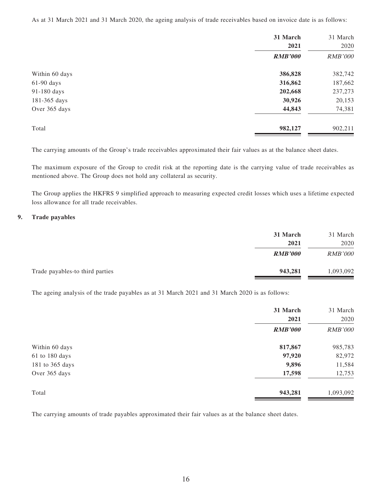As at 31 March 2021 and 31 March 2020, the ageing analysis of trade receivables based on invoice date is as follows:

|                | 31 March       | 31 March       |
|----------------|----------------|----------------|
|                | 2021           | 2020           |
|                | <b>RMB'000</b> | <b>RMB'000</b> |
| Within 60 days | 386,828        | 382,742        |
| $61-90$ days   | 316,862        | 187,662        |
| 91-180 days    | 202,668        | 237,273        |
| 181-365 days   | 30,926         | 20,153         |
| Over 365 days  | 44,843         | 74,381         |
| Total          | 982,127        | 902,211        |

The carrying amounts of the Group's trade receivables approximated their fair values as at the balance sheet dates.

The maximum exposure of the Group to credit risk at the reporting date is the carrying value of trade receivables as mentioned above. The Group does not hold any collateral as security.

The Group applies the HKFRS 9 simplified approach to measuring expected credit losses which uses a lifetime expected loss allowance for all trade receivables.

#### **9. Trade payables**

| 31 March       | 31 March       |
|----------------|----------------|
| 2021           | 2020           |
| <b>RMB'000</b> | <i>RMB'000</i> |
| 943,281        | 1,093,092      |
|                |                |

The ageing analysis of the trade payables as at 31 March 2021 and 31 March 2020 is as follows:

|                 | 31 March<br>2021 | 31 March<br>2020 |
|-----------------|------------------|------------------|
|                 | <b>RMB'000</b>   | <b>RMB'000</b>   |
| Within 60 days  | 817,867          | 985,783          |
| 61 to 180 days  | 97,920           | 82,972           |
| 181 to 365 days | 9,896            | 11,584           |
| Over 365 days   | 17,598           | 12,753           |
| Total           | 943,281          | 1,093,092        |

The carrying amounts of trade payables approximated their fair values as at the balance sheet dates.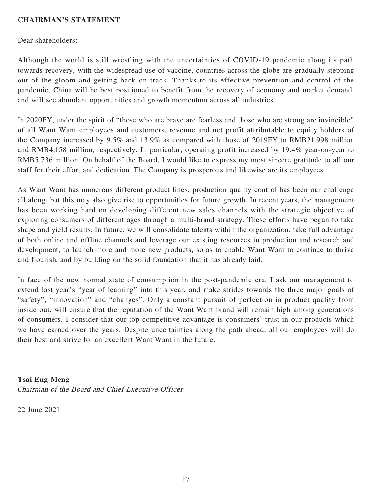### **CHAIRMAN'S STATEMENT**

Dear shareholders:

Although the world is still wrestling with the uncertainties of COVID-19 pandemic along its path towards recovery, with the widespread use of vaccine, countries across the globe are gradually stepping out of the gloom and getting back on track. Thanks to its effective prevention and control of the pandemic, China will be best positioned to benefit from the recovery of economy and market demand, and will see abundant opportunities and growth momentum across all industries.

In 2020FY, under the spirit of "those who are brave are fearless and those who are strong are invincible" of all Want Want employees and customers, revenue and net profit attributable to equity holders of the Company increased by 9.5% and 13.9% as compared with those of 2019FY to RMB21,998 million and RMB4,158 million, respectively. In particular, operating profit increased by 19.4% year-on-year to RMB5,736 million. On behalf of the Board, I would like to express my most sincere gratitude to all our staff for their effort and dedication. The Company is prosperous and likewise are its employees.

As Want Want has numerous different product lines, production quality control has been our challenge all along, but this may also give rise to opportunities for future growth. In recent years, the management has been working hard on developing different new sales channels with the strategic objective of exploring consumers of different ages through a multi-brand strategy. These efforts have begun to take shape and yield results. In future, we will consolidate talents within the organization, take full advantage of both online and offline channels and leverage our existing resources in production and research and development, to launch more and more new products, so as to enable Want Want to continue to thrive and flourish, and by building on the solid foundation that it has already laid.

In face of the new normal state of consumption in the post-pandemic era, I ask our management to extend last year's "year of learning" into this year, and make strides towards the three major goals of "safety", "innovation" and "changes". Only a constant pursuit of perfection in product quality from inside out, will ensure that the reputation of the Want Want brand will remain high among generations of consumers. I consider that our top competitive advantage is consumers' trust in our products which we have earned over the years. Despite uncertainties along the path ahead, all our employees will do their best and strive for an excellent Want Want in the future.

#### **Tsai Eng-Meng**

Chairman of the Board and Chief Executive Officer

22 June 2021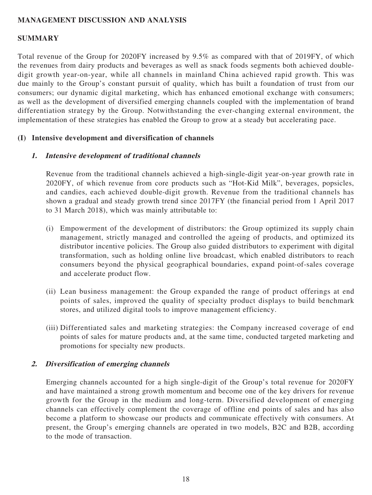# **MANAGEMENT DISCUSSION AND ANALYSIS**

### **SUMMARY**

Total revenue of the Group for 2020FY increased by 9.5% as compared with that of 2019FY, of which the revenues from dairy products and beverages as well as snack foods segments both achieved doubledigit growth year-on-year, while all channels in mainland China achieved rapid growth. This was due mainly to the Group's constant pursuit of quality, which has built a foundation of trust from our consumers; our dynamic digital marketing, which has enhanced emotional exchange with consumers; as well as the development of diversified emerging channels coupled with the implementation of brand differentiation strategy by the Group. Notwithstanding the ever-changing external environment, the implementation of these strategies has enabled the Group to grow at a steady but accelerating pace.

### **(I) Intensive development and diversification of channels**

#### **1. Intensive development of traditional channels**

Revenue from the traditional channels achieved a high-single-digit year-on-year growth rate in 2020FY, of which revenue from core products such as "Hot-Kid Milk", beverages, popsicles, and candies, each achieved double-digit growth. Revenue from the traditional channels has shown a gradual and steady growth trend since 2017FY (the financial period from 1 April 2017 to 31 March 2018), which was mainly attributable to:

- (i) Empowerment of the development of distributors: the Group optimized its supply chain management, strictly managed and controlled the ageing of products, and optimized its distributor incentive policies. The Group also guided distributors to experiment with digital transformation, such as holding online live broadcast, which enabled distributors to reach consumers beyond the physical geographical boundaries, expand point-of-sales coverage and accelerate product flow.
- (ii) Lean business management: the Group expanded the range of product offerings at end points of sales, improved the quality of specialty product displays to build benchmark stores, and utilized digital tools to improve management efficiency.
- (iii) Differentiated sales and marketing strategies: the Company increased coverage of end points of sales for mature products and, at the same time, conducted targeted marketing and promotions for specialty new products.

### **2. Diversification of emerging channels**

Emerging channels accounted for a high single-digit of the Group's total revenue for 2020FY and have maintained a strong growth momentum and become one of the key drivers for revenue growth for the Group in the medium and long-term. Diversified development of emerging channels can effectively complement the coverage of offline end points of sales and has also become a platform to showcase our products and communicate effectively with consumers. At present, the Group's emerging channels are operated in two models, B2C and B2B, according to the mode of transaction.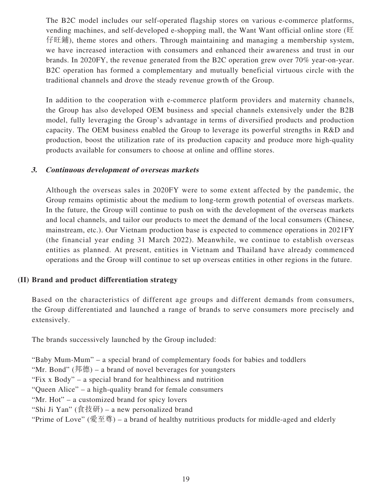The B2C model includes our self-operated flagship stores on various e-commerce platforms, vending machines, and self-developed e-shopping mall, the Want Want official online store (旺 仔旺鋪), theme stores and others. Through maintaining and managing a membership system, we have increased interaction with consumers and enhanced their awareness and trust in our brands. In 2020FY, the revenue generated from the B2C operation grew over 70% year-on-year. B2C operation has formed a complementary and mutually beneficial virtuous circle with the traditional channels and drove the steady revenue growth of the Group.

In addition to the cooperation with e-commerce platform providers and maternity channels, the Group has also developed OEM business and special channels extensively under the B2B model, fully leveraging the Group's advantage in terms of diversified products and production capacity. The OEM business enabled the Group to leverage its powerful strengths in R&D and production, boost the utilization rate of its production capacity and produce more high-quality products available for consumers to choose at online and offline stores.

### **3. Continuous development of overseas markets**

Although the overseas sales in 2020FY were to some extent affected by the pandemic, the Group remains optimistic about the medium to long-term growth potential of overseas markets. In the future, the Group will continue to push on with the development of the overseas markets and local channels, and tailor our products to meet the demand of the local consumers (Chinese, mainstream, etc.). Our Vietnam production base is expected to commence operations in 2021FY (the financial year ending 31 March 2022). Meanwhile, we continue to establish overseas entities as planned. At present, entities in Vietnam and Thailand have already commenced operations and the Group will continue to set up overseas entities in other regions in the future.

### **(II) Brand and product differentiation strategy**

Based on the characteristics of different age groups and different demands from consumers, the Group differentiated and launched a range of brands to serve consumers more precisely and extensively.

The brands successively launched by the Group included:

"Baby Mum-Mum" – a special brand of complementary foods for babies and toddlers

"Mr. Bond" (邦德) – a brand of novel beverages for youngsters

"Fix x Body" – a special brand for healthiness and nutrition

"Queen Alice" – a high-quality brand for female consumers

"Mr. Hot" – a customized brand for spicy lovers

"Shi Ji Yan" (食技研) – a new personalized brand

"Prime of Love" (愛至尊) – a brand of healthy nutritious products for middle-aged and elderly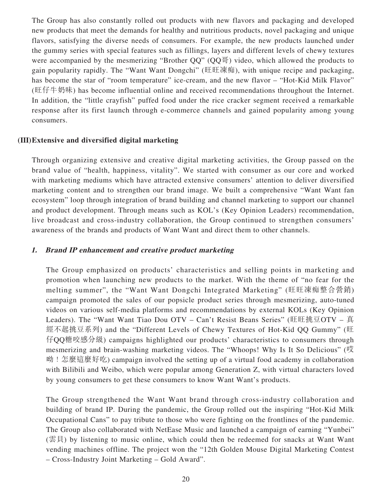The Group has also constantly rolled out products with new flavors and packaging and developed new products that meet the demands for healthy and nutritious products, novel packaging and unique flavors, satisfying the diverse needs of consumers. For example, the new products launched under the gummy series with special features such as fillings, layers and different levels of chewy textures were accompanied by the mesmerizing "Brother QQ" (QQ $\overline{H}$ ) video, which allowed the products to gain popularity rapidly. The "Want Want Dongchi" (旺旺凍痴), with unique recipe and packaging, has become the star of "room temperature" ice-cream, and the new flavor – "Hot-Kid Milk Flavor" (旺仔牛奶味) has become influential online and received recommendations throughout the Internet. In addition, the "little crayfish" puffed food under the rice cracker segment received a remarkable response after its first launch through e-commerce channels and gained popularity among young consumers.

#### **(III) Extensive and diversified digital marketing**

Through organizing extensive and creative digital marketing activities, the Group passed on the brand value of "health, happiness, vitality". We started with consumer as our core and worked with marketing mediums which have attracted extensive consumers' attention to deliver diversified marketing content and to strengthen our brand image. We built a comprehensive "Want Want fan ecosystem" loop through integration of brand building and channel marketing to support our channel and product development. Through means such as KOL's (Key Opinion Leaders) recommendation, live broadcast and cross-industry collaboration, the Group continued to strengthen consumers' awareness of the brands and products of Want Want and direct them to other channels.

#### **1. Brand IP enhancement and creative product marketing**

The Group emphasized on products' characteristics and selling points in marketing and promotion when launching new products to the market. With the theme of "no fear for the melting summer", the "Want Want Dongchi Integrated Marketing" (旺旺凍痴整合營銷) campaign promoted the sales of our popsicle product series through mesmerizing, auto-tuned videos on various self-media platforms and recommendations by external KOLs (Key Opinion Leaders). The "Want Want Tiao Dou OTV – Can't Resist Beans Series" (旺旺挑豆OTV – 真 經不起挑豆系列) and the "Different Levels of Chewy Textures of Hot-Kid QQ Gummy" (旺 仔QQ糖咬感分級) campaigns highlighted our products' characteristics to consumers through mesmerizing and brain-washing marketing videos. The "Whoops! Why Is It So Delicious" (哎 呦!怎麼這麼好吃) campaign involved the setting up of a virtual food academy in collaboration with Bilibili and Weibo, which were popular among Generation Z, with virtual characters loved by young consumers to get these consumers to know Want Want's products.

The Group strengthened the Want Want brand through cross-industry collaboration and building of brand IP. During the pandemic, the Group rolled out the inspiring "Hot-Kid Milk Occupational Cans" to pay tribute to those who were fighting on the frontlines of the pandemic. The Group also collaborated with NetEase Music and launched a campaign of earning "Yunbei" (雲貝) by listening to music online, which could then be redeemed for snacks at Want Want vending machines offline. The project won the "12th Golden Mouse Digital Marketing Contest – Cross-Industry Joint Marketing – Gold Award".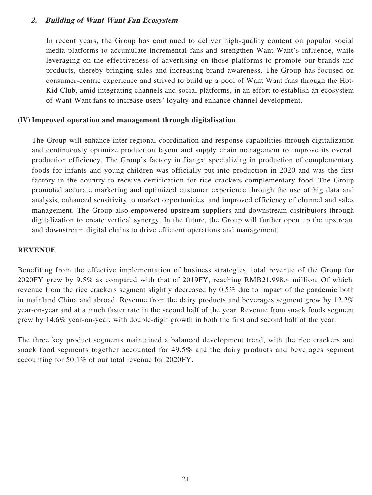#### **2. Building of Want Want Fan Ecosystem**

In recent years, the Group has continued to deliver high-quality content on popular social media platforms to accumulate incremental fans and strengthen Want Want's influence, while leveraging on the effectiveness of advertising on those platforms to promote our brands and products, thereby bringing sales and increasing brand awareness. The Group has focused on consumer-centric experience and strived to build up a pool of Want Want fans through the Hot-Kid Club, amid integrating channels and social platforms, in an effort to establish an ecosystem of Want Want fans to increase users' loyalty and enhance channel development.

#### **(IV) Improved operation and management through digitalisation**

The Group will enhance inter-regional coordination and response capabilities through digitalization and continuously optimize production layout and supply chain management to improve its overall production efficiency. The Group's factory in Jiangxi specializing in production of complementary foods for infants and young children was officially put into production in 2020 and was the first factory in the country to receive certification for rice crackers complementary food. The Group promoted accurate marketing and optimized customer experience through the use of big data and analysis, enhanced sensitivity to market opportunities, and improved efficiency of channel and sales management. The Group also empowered upstream suppliers and downstream distributors through digitalization to create vertical synergy. In the future, the Group will further open up the upstream and downstream digital chains to drive efficient operations and management.

#### **REVENUE**

Benefiting from the effective implementation of business strategies, total revenue of the Group for 2020FY grew by 9.5% as compared with that of 2019FY, reaching RMB21,998.4 million. Of which, revenue from the rice crackers segment slightly decreased by 0.5% due to impact of the pandemic both in mainland China and abroad. Revenue from the dairy products and beverages segment grew by 12.2% year-on-year and at a much faster rate in the second half of the year. Revenue from snack foods segment grew by 14.6% year-on-year, with double-digit growth in both the first and second half of the year.

The three key product segments maintained a balanced development trend, with the rice crackers and snack food segments together accounted for 49.5% and the dairy products and beverages segment accounting for 50.1% of our total revenue for 2020FY.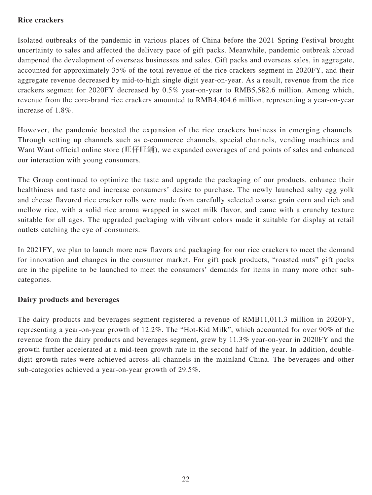### **Rice crackers**

Isolated outbreaks of the pandemic in various places of China before the 2021 Spring Festival brought uncertainty to sales and affected the delivery pace of gift packs. Meanwhile, pandemic outbreak abroad dampened the development of overseas businesses and sales. Gift packs and overseas sales, in aggregate, accounted for approximately 35% of the total revenue of the rice crackers segment in 2020FY, and their aggregate revenue decreased by mid-to-high single digit year-on-year. As a result, revenue from the rice crackers segment for 2020FY decreased by 0.5% year-on-year to RMB5,582.6 million. Among which, revenue from the core-brand rice crackers amounted to RMB4,404.6 million, representing a year-on-year increase of 1.8%.

However, the pandemic boosted the expansion of the rice crackers business in emerging channels. Through setting up channels such as e-commerce channels, special channels, vending machines and Want Want official online store (旺仔旺鋪), we expanded coverages of end points of sales and enhanced our interaction with young consumers.

The Group continued to optimize the taste and upgrade the packaging of our products, enhance their healthiness and taste and increase consumers' desire to purchase. The newly launched salty egg yolk and cheese flavored rice cracker rolls were made from carefully selected coarse grain corn and rich and mellow rice, with a solid rice aroma wrapped in sweet milk flavor, and came with a crunchy texture suitable for all ages. The upgraded packaging with vibrant colors made it suitable for display at retail outlets catching the eye of consumers.

In 2021FY, we plan to launch more new flavors and packaging for our rice crackers to meet the demand for innovation and changes in the consumer market. For gift pack products, "roasted nuts" gift packs are in the pipeline to be launched to meet the consumers' demands for items in many more other subcategories.

### **Dairy products and beverages**

The dairy products and beverages segment registered a revenue of RMB11,011.3 million in 2020FY, representing a year-on-year growth of 12.2%. The "Hot-Kid Milk", which accounted for over 90% of the revenue from the dairy products and beverages segment, grew by 11.3% year-on-year in 2020FY and the growth further accelerated at a mid-teen growth rate in the second half of the year. In addition, doubledigit growth rates were achieved across all channels in the mainland China. The beverages and other sub-categories achieved a year-on-year growth of 29.5%.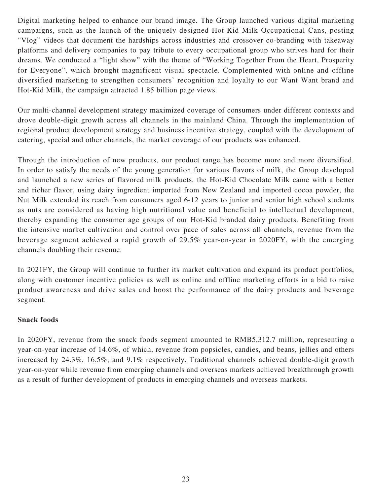Digital marketing helped to enhance our brand image. The Group launched various digital marketing campaigns, such as the launch of the uniquely designed Hot-Kid Milk Occupational Cans, posting "Vlog" videos that document the hardships across industries and crossover co-branding with takeaway platforms and delivery companies to pay tribute to every occupational group who strives hard for their dreams. We conducted a "light show" with the theme of "Working Together From the Heart, Prosperity for Everyone", which brought magnificent visual spectacle. Complemented with online and offline diversified marketing to strengthen consumers' recognition and loyalty to our Want Want brand and Hot-Kid Milk, the campaign attracted 1.85 billion page views.

Our multi-channel development strategy maximized coverage of consumers under different contexts and drove double-digit growth across all channels in the mainland China. Through the implementation of regional product development strategy and business incentive strategy, coupled with the development of catering, special and other channels, the market coverage of our products was enhanced.

Through the introduction of new products, our product range has become more and more diversified. In order to satisfy the needs of the young generation for various flavors of milk, the Group developed and launched a new series of flavored milk products, the Hot-Kid Chocolate Milk came with a better and richer flavor, using dairy ingredient imported from New Zealand and imported cocoa powder, the Nut Milk extended its reach from consumers aged 6-12 years to junior and senior high school students as nuts are considered as having high nutritional value and beneficial to intellectual development, thereby expanding the consumer age groups of our Hot-Kid branded dairy products. Benefiting from the intensive market cultivation and control over pace of sales across all channels, revenue from the beverage segment achieved a rapid growth of 29.5% year-on-year in 2020FY, with the emerging channels doubling their revenue.

In 2021FY, the Group will continue to further its market cultivation and expand its product portfolios, along with customer incentive policies as well as online and offline marketing efforts in a bid to raise product awareness and drive sales and boost the performance of the dairy products and beverage segment.

### **Snack foods**

In 2020FY, revenue from the snack foods segment amounted to RMB5,312.7 million, representing a year-on-year increase of 14.6%, of which, revenue from popsicles, candies, and beans, jellies and others increased by 24.3%, 16.5%, and 9.1% respectively. Traditional channels achieved double-digit growth year-on-year while revenue from emerging channels and overseas markets achieved breakthrough growth as a result of further development of products in emerging channels and overseas markets.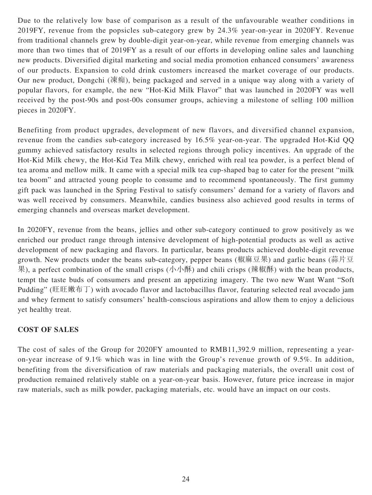Due to the relatively low base of comparison as a result of the unfavourable weather conditions in 2019FY, revenue from the popsicles sub-category grew by 24.3% year-on-year in 2020FY. Revenue from traditional channels grew by double-digit year-on-year, while revenue from emerging channels was more than two times that of 2019FY as a result of our efforts in developing online sales and launching new products. Diversified digital marketing and social media promotion enhanced consumers' awareness of our products. Expansion to cold drink customers increased the market coverage of our products. Our new product, Dongchi (凍痴), being packaged and served in a unique way along with a variety of popular flavors, for example, the new "Hot-Kid Milk Flavor" that was launched in 2020FY was well received by the post-90s and post-00s consumer groups, achieving a milestone of selling 100 million pieces in 2020FY.

Benefiting from product upgrades, development of new flavors, and diversified channel expansion, revenue from the candies sub-category increased by 16.5% year-on-year. The upgraded Hot-Kid QQ gummy achieved satisfactory results in selected regions through policy incentives. An upgrade of the Hot-Kid Milk chewy, the Hot-Kid Tea Milk chewy, enriched with real tea powder, is a perfect blend of tea aroma and mellow milk. It came with a special milk tea cup-shaped bag to cater for the present "milk tea boom" and attracted young people to consume and to recommend spontaneously. The first gummy gift pack was launched in the Spring Festival to satisfy consumers' demand for a variety of flavors and was well received by consumers. Meanwhile, candies business also achieved good results in terms of emerging channels and overseas market development.

In 2020FY, revenue from the beans, jellies and other sub-category continued to grow positively as we enriched our product range through intensive development of high-potential products as well as active development of new packaging and flavors. In particular, beans products achieved double-digit revenue growth. New products under the beans sub-category, pepper beans (椒麻豆果) and garlic beans (蒜片豆 果), a perfect combination of the small crisps (小小酥) and chili crisps (辣椒酥) with the bean products, tempt the taste buds of consumers and present an appetizing imagery. The two new Want Want "Soft Pudding" (旺旺嫩布丁) with avocado flavor and lactobacillus flavor, featuring selected real avocado jam and whey ferment to satisfy consumers' health-conscious aspirations and allow them to enjoy a delicious yet healthy treat.

# **COST OF SALES**

The cost of sales of the Group for 2020FY amounted to RMB11,392.9 million, representing a yearon-year increase of 9.1% which was in line with the Group's revenue growth of 9.5%. In addition, benefiting from the diversification of raw materials and packaging materials, the overall unit cost of production remained relatively stable on a year-on-year basis. However, future price increase in major raw materials, such as milk powder, packaging materials, etc. would have an impact on our costs.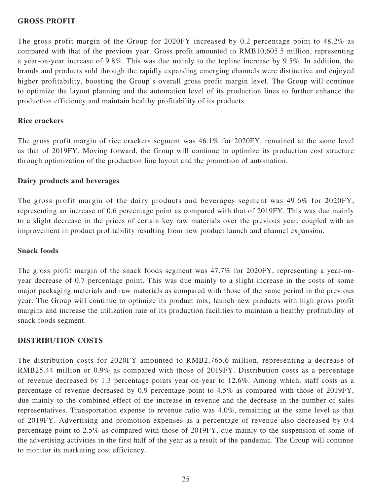#### **GROSS PROFIT**

The gross profit margin of the Group for 2020FY increased by 0.2 percentage point to 48.2% as compared with that of the previous year. Gross profit amounted to RMB10,605.5 million, representing a year-on-year increase of 9.8%. This was due mainly to the topline increase by 9.5%. In addition, the brands and products sold through the rapidly expanding emerging channels were distinctive and enjoyed higher profitability, boosting the Group's overall gross profit margin level. The Group will continue to optimize the layout planning and the automation level of its production lines to further enhance the production efficiency and maintain healthy profitability of its products.

#### **Rice crackers**

The gross profit margin of rice crackers segment was 46.1% for 2020FY, remained at the same level as that of 2019FY. Moving forward, the Group will continue to optimize its production cost structure through optimization of the production line layout and the promotion of automation.

#### **Dairy products and beverages**

The gross profit margin of the dairy products and beverages segment was 49.6% for 2020FY, representing an increase of 0.6 percentage point as compared with that of 2019FY. This was due mainly to a slight decrease in the prices of certain key raw materials over the previous year, coupled with an improvement in product profitability resulting from new product launch and channel expansion.

#### **Snack foods**

The gross profit margin of the snack foods segment was 47.7% for 2020FY, representing a year-onyear decrease of 0.7 percentage point. This was due mainly to a slight increase in the costs of some major packaging materials and raw materials as compared with those of the same period in the previous year. The Group will continue to optimize its product mix, launch new products with high gross profit margins and increase the utilization rate of its production facilities to maintain a healthy profitability of snack foods segment.

### **DISTRIBUTION COSTS**

The distribution costs for 2020FY amounted to RMB2,765.6 million, representing a decrease of RMB25.44 million or 0.9% as compared with those of 2019FY. Distribution costs as a percentage of revenue decreased by 1.3 percentage points year-on-year to 12.6%. Among which, staff costs as a percentage of revenue decreased by 0.9 percentage point to 4.5% as compared with those of 2019FY, due mainly to the combined effect of the increase in revenue and the decrease in the number of sales representatives. Transportation expense to revenue ratio was 4.0%, remaining at the same level as that of 2019FY. Advertising and promotion expenses as a percentage of revenue also decreased by 0.4 percentage point to 2.5% as compared with those of 2019FY, due mainly to the suspension of some of the advertising activities in the first half of the year as a result of the pandemic. The Group will continue to monitor its marketing cost efficiency.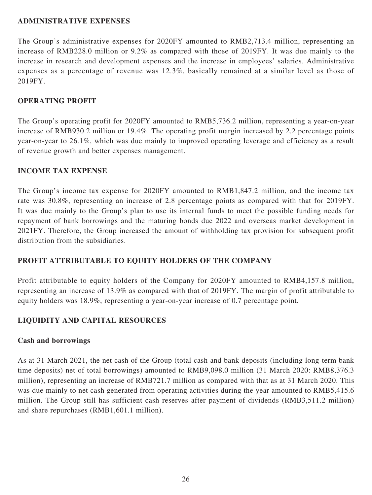#### **ADMINISTRATIVE EXPENSES**

The Group's administrative expenses for 2020FY amounted to RMB2,713.4 million, representing an increase of RMB228.0 million or 9.2% as compared with those of 2019FY. It was due mainly to the increase in research and development expenses and the increase in employees' salaries. Administrative expenses as a percentage of revenue was 12.3%, basically remained at a similar level as those of 2019FY.

### **OPERATING PROFIT**

The Group's operating profit for 2020FY amounted to RMB5,736.2 million, representing a year-on-year increase of RMB930.2 million or 19.4%. The operating profit margin increased by 2.2 percentage points year-on-year to 26.1%, which was due mainly to improved operating leverage and efficiency as a result of revenue growth and better expenses management.

# **INCOME TAX EXPENSE**

The Group's income tax expense for 2020FY amounted to RMB1,847.2 million, and the income tax rate was 30.8%, representing an increase of 2.8 percentage points as compared with that for 2019FY. It was due mainly to the Group's plan to use its internal funds to meet the possible funding needs for repayment of bank borrowings and the maturing bonds due 2022 and overseas market development in 2021FY. Therefore, the Group increased the amount of withholding tax provision for subsequent profit distribution from the subsidiaries.

# **PROFIT ATTRIBUTABLE TO EQUITY HOLDERS OF THE COMPANY**

Profit attributable to equity holders of the Company for 2020FY amounted to RMB4,157.8 million, representing an increase of 13.9% as compared with that of 2019FY. The margin of profit attributable to equity holders was 18.9%, representing a year-on-year increase of 0.7 percentage point.

# **LIQUIDITY AND CAPITAL RESOURCES**

### **Cash and borrowings**

As at 31 March 2021, the net cash of the Group (total cash and bank deposits (including long-term bank time deposits) net of total borrowings) amounted to RMB9,098.0 million (31 March 2020: RMB8,376.3 million), representing an increase of RMB721.7 million as compared with that as at 31 March 2020. This was due mainly to net cash generated from operating activities during the year amounted to RMB5,415.6 million. The Group still has sufficient cash reserves after payment of dividends (RMB3,511.2 million) and share repurchases (RMB1,601.1 million).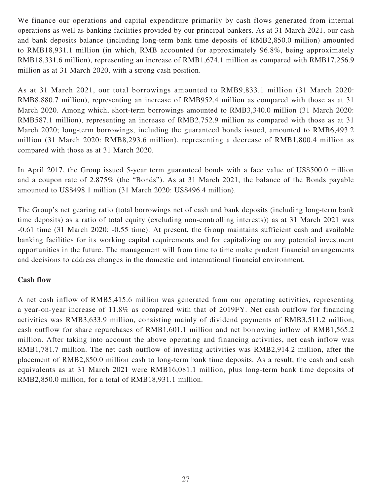We finance our operations and capital expenditure primarily by cash flows generated from internal operations as well as banking facilities provided by our principal bankers. As at 31 March 2021, our cash and bank deposits balance (including long-term bank time deposits of RMB2,850.0 million) amounted to RMB18,931.1 million (in which, RMB accounted for approximately 96.8%, being approximately RMB18,331.6 million), representing an increase of RMB1,674.1 million as compared with RMB17,256.9 million as at 31 March 2020, with a strong cash position.

As at 31 March 2021, our total borrowings amounted to RMB9,833.1 million (31 March 2020: RMB8,880.7 million), representing an increase of RMB952.4 million as compared with those as at 31 March 2020. Among which, short-term borrowings amounted to RMB3,340.0 million (31 March 2020: RMB587.1 million), representing an increase of RMB2,752.9 million as compared with those as at 31 March 2020; long-term borrowings, including the guaranteed bonds issued, amounted to RMB6,493.2 million (31 March 2020: RMB8,293.6 million), representing a decrease of RMB1,800.4 million as compared with those as at 31 March 2020.

In April 2017, the Group issued 5-year term guaranteed bonds with a face value of US\$500.0 million and a coupon rate of 2.875% (the "Bonds"). As at 31 March 2021, the balance of the Bonds payable amounted to US\$498.1 million (31 March 2020: US\$496.4 million).

The Group's net gearing ratio (total borrowings net of cash and bank deposits (including long-term bank time deposits) as a ratio of total equity (excluding non-controlling interests)) as at 31 March 2021 was -0.61 time (31 March 2020: -0.55 time). At present, the Group maintains sufficient cash and available banking facilities for its working capital requirements and for capitalizing on any potential investment opportunities in the future. The management will from time to time make prudent financial arrangements and decisions to address changes in the domestic and international financial environment.

### **Cash flow**

A net cash inflow of RMB5,415.6 million was generated from our operating activities, representing a year-on-year increase of 11.8% as compared with that of 2019FY. Net cash outflow for financing activities was RMB3,633.9 million, consisting mainly of dividend payments of RMB3,511.2 million, cash outflow for share repurchases of RMB1,601.1 million and net borrowing inflow of RMB1,565.2 million. After taking into account the above operating and financing activities, net cash inflow was RMB1,781.7 million. The net cash outflow of investing activities was RMB2,914.2 million, after the placement of RMB2,850.0 million cash to long-term bank time deposits. As a result, the cash and cash equivalents as at 31 March 2021 were RMB16,081.1 million, plus long-term bank time deposits of RMB2,850.0 million, for a total of RMB18,931.1 million.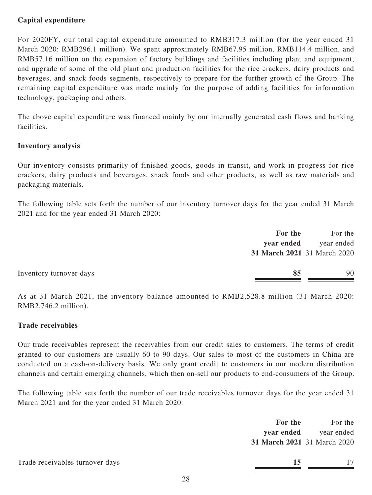# **Capital expenditure**

For 2020FY, our total capital expenditure amounted to RMB317.3 million (for the year ended 31 March 2020: RMB296.1 million). We spent approximately RMB67.95 million, RMB114.4 million, and RMB57.16 million on the expansion of factory buildings and facilities including plant and equipment, and upgrade of some of the old plant and production facilities for the rice crackers, dairy products and beverages, and snack foods segments, respectively to prepare for the further growth of the Group. The remaining capital expenditure was made mainly for the purpose of adding facilities for information technology, packaging and others.

The above capital expenditure was financed mainly by our internally generated cash flows and banking facilities.

### **Inventory analysis**

Our inventory consists primarily of finished goods, goods in transit, and work in progress for rice crackers, dairy products and beverages, snack foods and other products, as well as raw materials and packaging materials.

The following table sets forth the number of our inventory turnover days for the year ended 31 March 2021 and for the year ended 31 March 2020:

| For the                       | For the    |
|-------------------------------|------------|
| year ended                    | year ended |
| 31 March 2021 31 March 2020   |            |
|                               |            |
| 85<br>Inventory turnover days | 90         |
|                               |            |

As at 31 March 2021, the inventory balance amounted to RMB2,528.8 million (31 March 2020: RMB2,746.2 million).

#### **Trade receivables**

Our trade receivables represent the receivables from our credit sales to customers. The terms of credit granted to our customers are usually 60 to 90 days. Our sales to most of the customers in China are conducted on a cash-on-delivery basis. We only grant credit to customers in our modern distribution channels and certain emerging channels, which then on-sell our products to end-consumers of the Group.

The following table sets forth the number of our trade receivables turnover days for the year ended 31 March 2021 and for the year ended 31 March 2020:

| For the                     | For the    |
|-----------------------------|------------|
| year ended                  | year ended |
| 31 March 2021 31 March 2020 |            |

Trade receivables turnover days **15** 17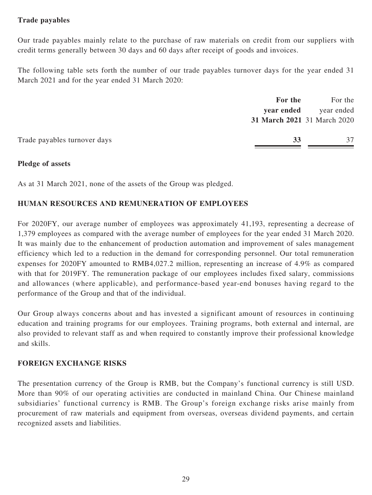# **Trade payables**

Our trade payables mainly relate to the purchase of raw materials on credit from our suppliers with credit terms generally between 30 days and 60 days after receipt of goods and invoices.

The following table sets forth the number of our trade payables turnover days for the year ended 31 March 2021 and for the year ended 31 March 2020:

|                              | For the                     | For the    |
|------------------------------|-----------------------------|------------|
|                              | year ended                  | year ended |
|                              | 31 March 2021 31 March 2020 |            |
| Trade payables turnover days | 33                          | 37         |
|                              |                             |            |

#### **Pledge of assets**

As at 31 March 2021, none of the assets of the Group was pledged.

### **HUMAN RESOURCES AND REMUNERATION OF EMPLOYEES**

For 2020FY, our average number of employees was approximately 41,193, representing a decrease of 1,379 employees as compared with the average number of employees for the year ended 31 March 2020. It was mainly due to the enhancement of production automation and improvement of sales management efficiency which led to a reduction in the demand for corresponding personnel. Our total remuneration expenses for 2020FY amounted to RMB4,027.2 million, representing an increase of 4.9% as compared with that for 2019FY. The remuneration package of our employees includes fixed salary, commissions and allowances (where applicable), and performance-based year-end bonuses having regard to the performance of the Group and that of the individual.

Our Group always concerns about and has invested a significant amount of resources in continuing education and training programs for our employees. Training programs, both external and internal, are also provided to relevant staff as and when required to constantly improve their professional knowledge and skills.

### **FOREIGN EXCHANGE RISKS**

The presentation currency of the Group is RMB, but the Company's functional currency is still USD. More than 90% of our operating activities are conducted in mainland China. Our Chinese mainland subsidiaries' functional currency is RMB. The Group's foreign exchange risks arise mainly from procurement of raw materials and equipment from overseas, overseas dividend payments, and certain recognized assets and liabilities.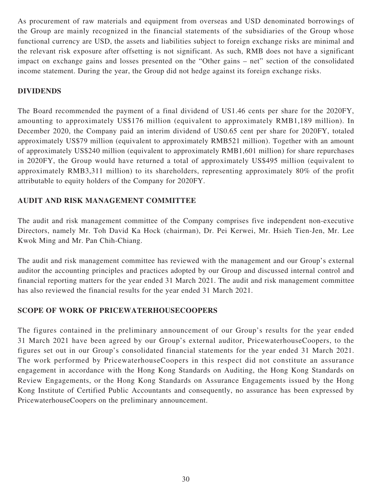As procurement of raw materials and equipment from overseas and USD denominated borrowings of the Group are mainly recognized in the financial statements of the subsidiaries of the Group whose functional currency are USD, the assets and liabilities subject to foreign exchange risks are minimal and the relevant risk exposure after offsetting is not significant. As such, RMB does not have a significant impact on exchange gains and losses presented on the "Other gains – net" section of the consolidated income statement. During the year, the Group did not hedge against its foreign exchange risks.

# **DIVIDENDS**

The Board recommended the payment of a final dividend of US1.46 cents per share for the 2020FY, amounting to approximately US\$176 million (equivalent to approximately RMB1,189 million). In December 2020, the Company paid an interim dividend of US0.65 cent per share for 2020FY, totaled approximately US\$79 million (equivalent to approximately RMB521 million). Together with an amount of approximately US\$240 million (equivalent to approximately RMB1,601 million) for share repurchases in 2020FY, the Group would have returned a total of approximately US\$495 million (equivalent to approximately RMB3,311 million) to its shareholders, representing approximately 80% of the profit attributable to equity holders of the Company for 2020FY.

# **AUDIT AND RISK MANAGEMENT COMMITTEE**

The audit and risk management committee of the Company comprises five independent non-executive Directors, namely Mr. Toh David Ka Hock (chairman), Dr. Pei Kerwei, Mr. Hsieh Tien-Jen, Mr. Lee Kwok Ming and Mr. Pan Chih-Chiang.

The audit and risk management committee has reviewed with the management and our Group's external auditor the accounting principles and practices adopted by our Group and discussed internal control and financial reporting matters for the year ended 31 March 2021. The audit and risk management committee has also reviewed the financial results for the year ended 31 March 2021.

# **SCOPE OF WORK OF PRICEWATERHOUSECOOPERS**

The figures contained in the preliminary announcement of our Group's results for the year ended 31 March 2021 have been agreed by our Group's external auditor, PricewaterhouseCoopers, to the figures set out in our Group's consolidated financial statements for the year ended 31 March 2021. The work performed by PricewaterhouseCoopers in this respect did not constitute an assurance engagement in accordance with the Hong Kong Standards on Auditing, the Hong Kong Standards on Review Engagements, or the Hong Kong Standards on Assurance Engagements issued by the Hong Kong Institute of Certified Public Accountants and consequently, no assurance has been expressed by PricewaterhouseCoopers on the preliminary announcement.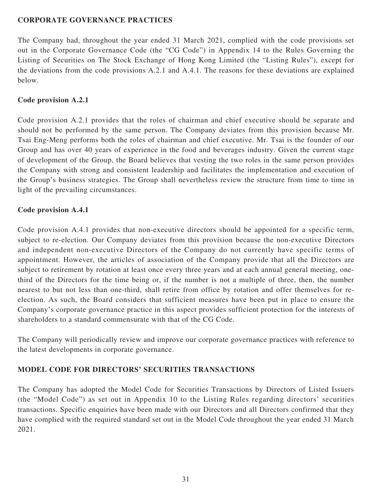### **CORPORATE GOVERNANCE PRACTICES**

The Company had, throughout the year ended 31 March 2021, complied with the code provisions set out in the Corporate Governance Code (the "CG Code") in Appendix 14 to the Rules Governing the Listing of Securities on The Stock Exchange of Hong Kong Limited (the "Listing Rules"), except for the deviations from the code provisions A.2.1 and A.4.1. The reasons for these deviations are explained below.

### **Code provision A.2.1**

Code provision A.2.1 provides that the roles of chairman and chief executive should be separate and should not be performed by the same person. The Company deviates from this provision because Mr. Tsai Eng-Meng performs both the roles of chairman and chief executive. Mr. Tsai is the founder of our Group and has over 40 years of experience in the food and beverages industry. Given the current stage of development of the Group, the Board believes that vesting the two roles in the same person provides the Company with strong and consistent leadership and facilitates the implementation and execution of the Group's business strategies. The Group shall nevertheless review the structure from time to time in light of the prevailing circumstances.

# **Code provision A.4.1**

Code provision A.4.1 provides that non-executive directors should be appointed for a specific term, subject to re-election. Our Company deviates from this provision because the non-executive Directors and independent non-executive Directors of the Company do not currently have specific terms of appointment. However, the articles of association of the Company provide that all the Directors are subject to retirement by rotation at least once every three years and at each annual general meeting, onethird of the Directors for the time being or, if the number is not a multiple of three, then, the number nearest to but not less than one-third, shall retire from office by rotation and offer themselves for reelection. As such, the Board considers that sufficient measures have been put in place to ensure the Company's corporate governance practice in this aspect provides sufficient protection for the interests of shareholders to a standard commensurate with that of the CG Code.

The Company will periodically review and improve our corporate governance practices with reference to the latest developments in corporate governance.

# **MODEL CODE FOR DIRECTORS' SECURITIES TRANSACTIONS**

The Company has adopted the Model Code for Securities Transactions by Directors of Listed Issuers (the "Model Code") as set out in Appendix 10 to the Listing Rules regarding directors' securities transactions. Specific enquiries have been made with our Directors and all Directors confirmed that they have complied with the required standard set out in the Model Code throughout the year ended 31 March 2021.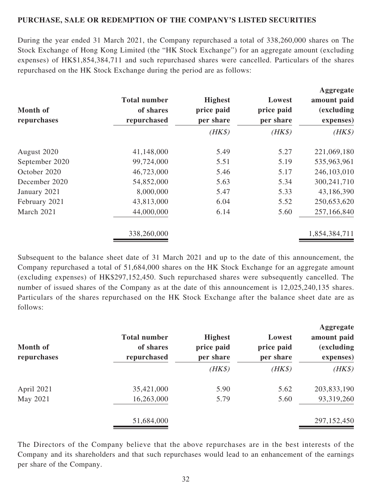### **PURCHASE, SALE OR REDEMPTION OF THE COMPANY'S LISTED SECURITIES**

During the year ended 31 March 2021, the Company repurchased a total of 338,260,000 shares on The Stock Exchange of Hong Kong Limited (the "HK Stock Exchange") for an aggregate amount (excluding expenses) of HK\$1,854,384,711 and such repurchased shares were cancelled. Particulars of the shares repurchased on the HK Stock Exchange during the period are as follows:

| <b>Month of</b><br>repurchases | <b>Total number</b><br>of shares<br>repurchased | <b>Highest</b><br>price paid<br>per share | Lowest<br>price paid<br>per share | Aggregate<br>amount paid<br><i>(excluding)</i><br>expenses) |
|--------------------------------|-------------------------------------------------|-------------------------------------------|-----------------------------------|-------------------------------------------------------------|
|                                |                                                 | $(HK\$                                    | $(HK\$                            | $(HK\$                                                      |
| August 2020                    | 41,148,000                                      | 5.49                                      | 5.27                              | 221,069,180                                                 |
| September 2020                 | 99,724,000                                      | 5.51                                      | 5.19                              | 535,963,961                                                 |
| October 2020                   | 46,723,000                                      | 5.46                                      | 5.17                              | 246,103,010                                                 |
| December 2020                  | 54,852,000                                      | 5.63                                      | 5.34                              | 300,241,710                                                 |
| January 2021                   | 8,000,000                                       | 5.47                                      | 5.33                              | 43,186,390                                                  |
| February 2021                  | 43,813,000                                      | 6.04                                      | 5.52                              | 250,653,620                                                 |
| March 2021                     | 44,000,000                                      | 6.14                                      | 5.60                              | 257,166,840                                                 |
|                                | 338,260,000                                     |                                           |                                   | 1,854,384,711                                               |

Subsequent to the balance sheet date of 31 March 2021 and up to the date of this announcement, the Company repurchased a total of 51,684,000 shares on the HK Stock Exchange for an aggregate amount (excluding expenses) of HK\$297,152,450. Such repurchased shares were subsequently cancelled. The number of issued shares of the Company as at the date of this announcement is 12,025,240,135 shares. Particulars of the shares repurchased on the HK Stock Exchange after the balance sheet date are as follows:

| Month of<br>repurchases | <b>Total number</b><br>of shares<br>repurchased | <b>Highest</b><br>price paid<br>per share | Lowest<br>price paid<br>per share | Aggregate<br>amount paid<br><i>(excluding)</i><br>expenses) |
|-------------------------|-------------------------------------------------|-------------------------------------------|-----------------------------------|-------------------------------------------------------------|
|                         |                                                 | $(HK\$                                    | $(HK\$                            | $(HK\$                                                      |
| April 2021              | 35,421,000                                      | 5.90                                      | 5.62                              | 203,833,190                                                 |
| May 2021                | 16,263,000                                      | 5.79                                      | 5.60                              | 93,319,260                                                  |
|                         | 51,684,000                                      |                                           |                                   | 297,152,450                                                 |

The Directors of the Company believe that the above repurchases are in the best interests of the Company and its shareholders and that such repurchases would lead to an enhancement of the earnings per share of the Company.